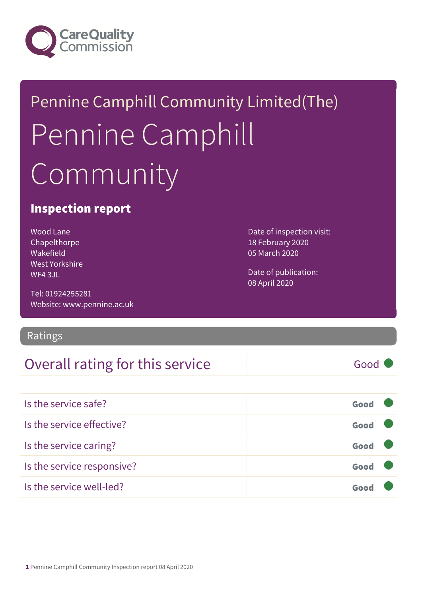

# Pennine Camphill Community Limited(The) Pennine Camphill Community

### Inspection report

Wood Lane Chapelthorpe Wakefield West Yorkshire WF4 3JL

Tel: 01924255281 Website: www.pennine.ac.uk

### Ratings

### Overall rating for this service and Good

Date of inspection visit: 18 February 2020 05 March 2020

Date of publication: 08 April 2020

| Is the service safe?       | Good |
|----------------------------|------|
| Is the service effective?  | Good |
| Is the service caring?     | Good |
| Is the service responsive? | Good |
| Is the service well-led?   | Good |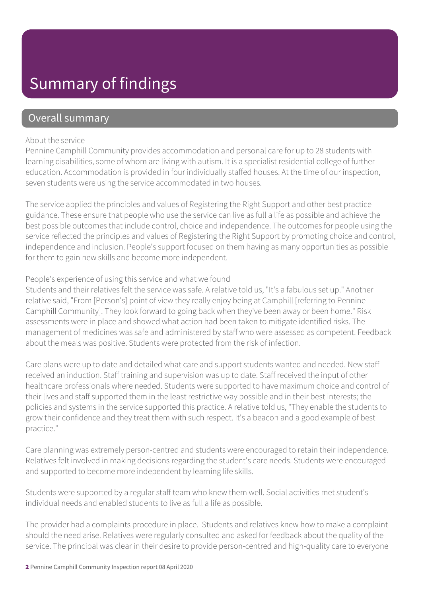### Summary of findings

### Overall summary

#### About the service

Pennine Camphill Community provides accommodation and personal care for up to 28 students with learning disabilities, some of whom are living with autism. It is a specialist residential college of further education. Accommodation is provided in four individually staffed houses. At the time of our inspection, seven students were using the service accommodated in two houses.

The service applied the principles and values of Registering the Right Support and other best practice guidance. These ensure that people who use the service can live as full a life as possible and achieve the best possible outcomes that include control, choice and independence. The outcomes for people using the service reflected the principles and values of Registering the Right Support by promoting choice and control, independence and inclusion. People's support focused on them having as many opportunities as possible for them to gain new skills and become more independent.

#### People's experience of using this service and what we found

Students and their relatives felt the service was safe. A relative told us, "It's a fabulous set up." Another relative said, "From [Person's] point of view they really enjoy being at Camphill [referring to Pennine Camphill Community]. They look forward to going back when they've been away or been home." Risk assessments were in place and showed what action had been taken to mitigate identified risks. The management of medicines was safe and administered by staff who were assessed as competent. Feedback about the meals was positive. Students were protected from the risk of infection.

Care plans were up to date and detailed what care and support students wanted and needed. New staff received an induction. Staff training and supervision was up to date. Staff received the input of other healthcare professionals where needed. Students were supported to have maximum choice and control of their lives and staff supported them in the least restrictive way possible and in their best interests; the policies and systems in the service supported this practice. A relative told us, "They enable the students to grow their confidence and they treat them with such respect. It's a beacon and a good example of best practice."

Care planning was extremely person-centred and students were encouraged to retain their independence. Relatives felt involved in making decisions regarding the student's care needs. Students were encouraged and supported to become more independent by learning life skills.

Students were supported by a regular staff team who knew them well. Social activities met student's individual needs and enabled students to live as full a life as possible.

The provider had a complaints procedure in place. Students and relatives knew how to make a complaint should the need arise. Relatives were regularly consulted and asked for feedback about the quality of the service. The principal was clear in their desire to provide person-centred and high-quality care to everyone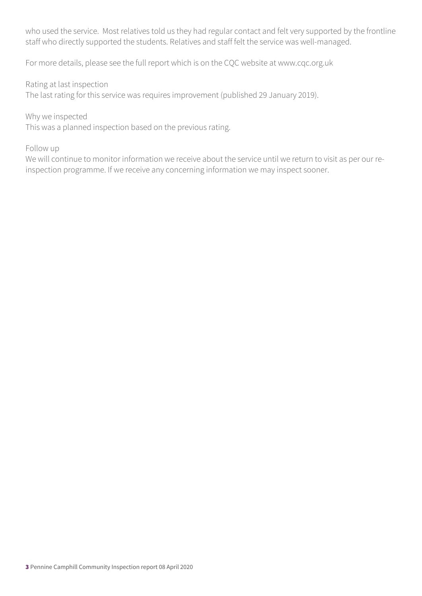who used the service. Most relatives told us they had regular contact and felt very supported by the frontline staff who directly supported the students. Relatives and staff felt the service was well-managed.

For more details, please see the full report which is on the CQC website at www.cqc.org.uk

Rating at last inspection

The last rating for this service was requires improvement (published 29 January 2019).

Why we inspected

This was a planned inspection based on the previous rating.

#### Follow up

We will continue to monitor information we receive about the service until we return to visit as per our reinspection programme. If we receive any concerning information we may inspect sooner.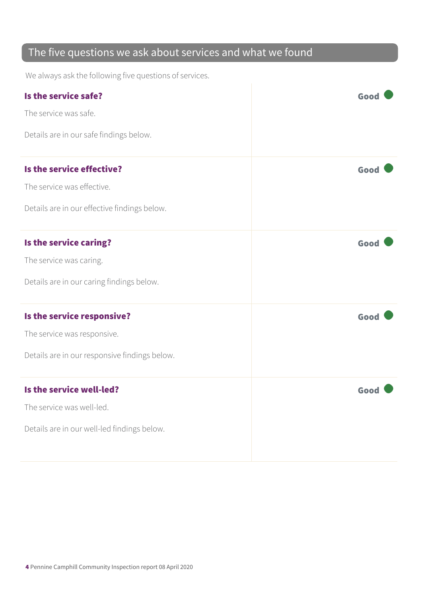### The five questions we ask about services and what we found

We always ask the following five questions of services.

| Is the service safe?                          | Goo  |
|-----------------------------------------------|------|
| The service was safe.                         |      |
| Details are in our safe findings below.       |      |
| Is the service effective?                     | Good |
| The service was effective.                    |      |
| Details are in our effective findings below.  |      |
| Is the service caring?                        | Good |
| The service was caring.                       |      |
| Details are in our caring findings below.     |      |
| Is the service responsive?                    | Good |
| The service was responsive.                   |      |
| Details are in our responsive findings below. |      |
| Is the service well-led?                      | Good |
| The service was well-led.                     |      |
| Details are in our well-led findings below.   |      |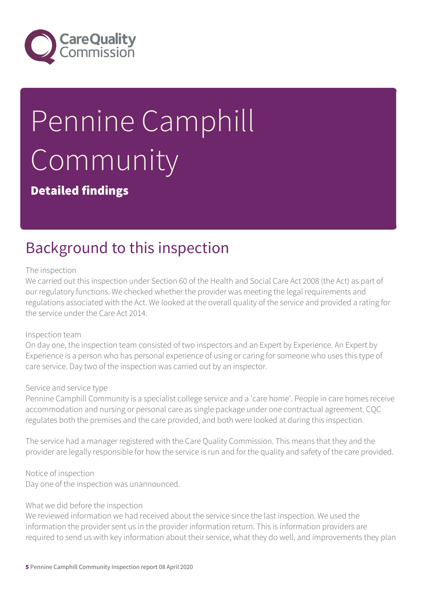

# Pennine Camphill Community

Detailed findings

## Background to this inspection

#### The inspection

We carried out this inspection under Section 60 of the Health and Social Care Act 2008 (the Act) as part of our regulatory functions. We checked whether the provider was meeting the legal requirements and regulations associated with the Act. We looked at the overall quality of the service and provided a rating for the service under the Care Act 2014.

#### Inspection team

On day one, the inspection team consisted of two inspectors and an Expert by Experience. An Expert by Experience is a person who has personal experience of using or caring for someone who uses this type of care service. Day two of the inspection was carried out by an inspector.

#### Service and service type

Pennine Camphill Community is a specialist college service and a 'care home'. People in care homes receive accommodation and nursing or personal care as single package under one contractual agreement. CQC regulates both the premises and the care provided, and both were looked at during this inspection.

The service had a manager registered with the Care Quality Commission. This means that they and the provider are legally responsible for how the service is run and for the quality and safety of the care provided.

Notice of inspection Day one of the inspection was unannounced.

#### What we did before the inspection

We reviewed information we had received about the service since the last inspection. We used the information the provider sent us in the provider information return. This is information providers are required to send us with key information about their service, what they do well, and improvements they plan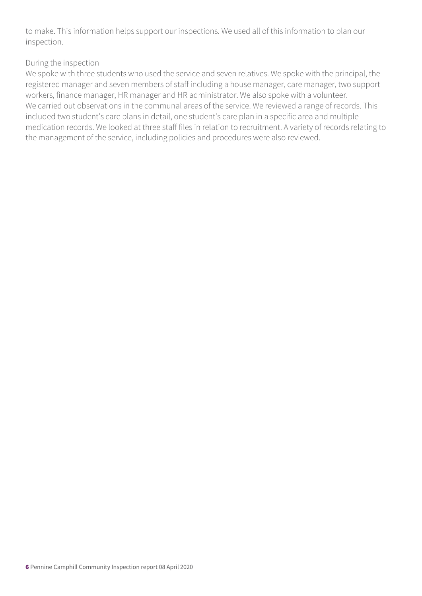to make. This information helps support our inspections. We used all of this information to plan our inspection.

#### During the inspection

We spoke with three students who used the service and seven relatives. We spoke with the principal, the registered manager and seven members of staff including a house manager, care manager, two support workers, finance manager, HR manager and HR administrator. We also spoke with a volunteer. We carried out observations in the communal areas of the service. We reviewed a range of records. This included two student's care plans in detail, one student's care plan in a specific area and multiple medication records. We looked at three staff files in relation to recruitment. A variety of records relating to the management of the service, including policies and procedures were also reviewed.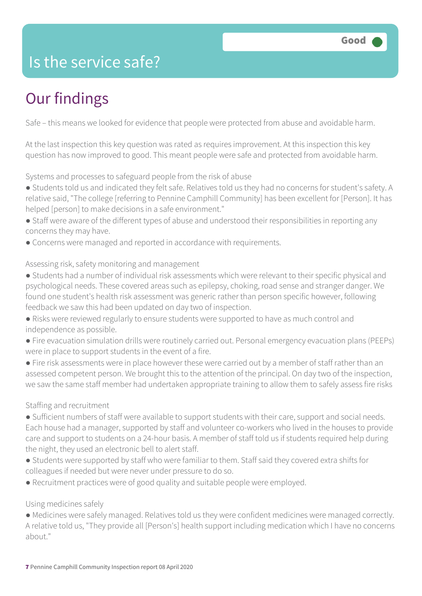### Is the service safe?

# Our findings

Safe – this means we looked for evidence that people were protected from abuse and avoidable harm.

At the last inspection this key question was rated as requires improvement. At this inspection this key question has now improved to good. This meant people were safe and protected from avoidable harm.

Systems and processes to safeguard people from the risk of abuse

- Students told us and indicated they felt safe. Relatives told us they had no concerns for student's safety. A relative said, "The college [referring to Pennine Camphill Community] has been excellent for [Person]. It has helped [person] to make decisions in a safe environment."
- Staff were aware of the different types of abuse and understood their responsibilities in reporting any concerns they may have.
- Concerns were managed and reported in accordance with requirements.

Assessing risk, safety monitoring and management

- Students had a number of individual risk assessments which were relevant to their specific physical and psychological needs. These covered areas such as epilepsy, choking, road sense and stranger danger. We found one student's health risk assessment was generic rather than person specific however, following feedback we saw this had been updated on day two of inspection.
- Risks were reviewed regularly to ensure students were supported to have as much control and independence as possible.
- Fire evacuation simulation drills were routinely carried out. Personal emergency evacuation plans (PEEPs) were in place to support students in the event of a fire.
- Fire risk assessments were in place however these were carried out by a member of staff rather than an assessed competent person. We brought this to the attention of the principal. On day two of the inspection, we saw the same staff member had undertaken appropriate training to allow them to safely assess fire risks

#### Staffing and recruitment

- Sufficient numbers of staff were available to support students with their care, support and social needs. Each house had a manager, supported by staff and volunteer co-workers who lived in the houses to provide care and support to students on a 24-hour basis. A member of staff told us if students required help during the night, they used an electronic bell to alert staff.
- Students were supported by staff who were familiar to them. Staff said they covered extra shifts for colleagues if needed but were never under pressure to do so.
- Recruitment practices were of good quality and suitable people were employed.

#### Using medicines safely

● Medicines were safely managed. Relatives told us they were confident medicines were managed correctly. A relative told us, "They provide all [Person's] health support including medication which I have no concerns about."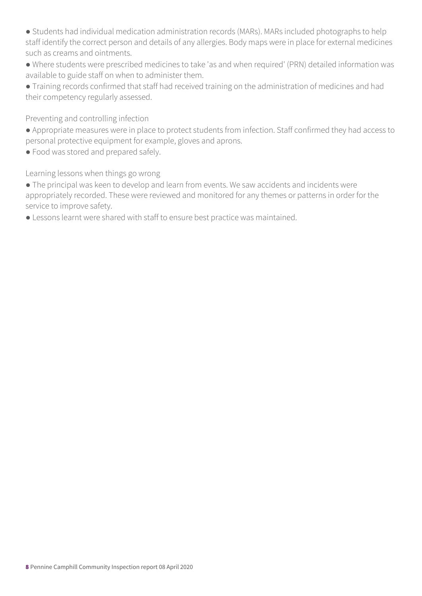- Students had individual medication administration records (MARs). MARs included photographs to help staff identify the correct person and details of any allergies. Body maps were in place for external medicines such as creams and ointments.
- Where students were prescribed medicines to take 'as and when required' (PRN) detailed information was available to guide staff on when to administer them.

● Training records confirmed that staff had received training on the administration of medicines and had their competency regularly assessed.

Preventing and controlling infection

- Appropriate measures were in place to protect students from infection. Staff confirmed they had access to personal protective equipment for example, gloves and aprons.
- Food was stored and prepared safely.

Learning lessons when things go wrong

- The principal was keen to develop and learn from events. We saw accidents and incidents were appropriately recorded. These were reviewed and monitored for any themes or patterns in order for the service to improve safety.
- Lessons learnt were shared with staff to ensure best practice was maintained.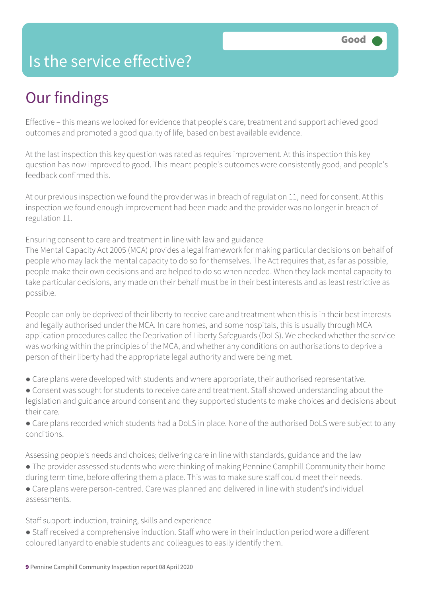### Is the service effective?

## Our findings

Effective – this means we looked for evidence that people's care, treatment and support achieved good outcomes and promoted a good quality of life, based on best available evidence.

At the last inspection this key question was rated as requires improvement. At this inspection this key question has now improved to good. This meant people's outcomes were consistently good, and people's feedback confirmed this.

At our previous inspection we found the provider was in breach of regulation 11, need for consent. At this inspection we found enough improvement had been made and the provider was no longer in breach of regulation 11.

Ensuring consent to care and treatment in line with law and guidance

The Mental Capacity Act 2005 (MCA) provides a legal framework for making particular decisions on behalf of people who may lack the mental capacity to do so for themselves. The Act requires that, as far as possible, people make their own decisions and are helped to do so when needed. When they lack mental capacity to take particular decisions, any made on their behalf must be in their best interests and as least restrictive as possible.

People can only be deprived of their liberty to receive care and treatment when this is in their best interests and legally authorised under the MCA. In care homes, and some hospitals, this is usually through MCA application procedures called the Deprivation of Liberty Safeguards (DoLS). We checked whether the service was working within the principles of the MCA, and whether any conditions on authorisations to deprive a person of their liberty had the appropriate legal authority and were being met.

- Care plans were developed with students and where appropriate, their authorised representative.
- Consent was sought for students to receive care and treatment. Staff showed understanding about the legislation and guidance around consent and they supported students to make choices and decisions about their care.
- Care plans recorded which students had a DoLS in place. None of the authorised DoLS were subject to any conditions.

Assessing people's needs and choices; delivering care in line with standards, guidance and the law

- The provider assessed students who were thinking of making Pennine Camphill Community their home during term time, before offering them a place. This was to make sure staff could meet their needs.
- Care plans were person-centred. Care was planned and delivered in line with student's individual assessments.

Staff support: induction, training, skills and experience

● Staff received a comprehensive induction. Staff who were in their induction period wore a different coloured lanyard to enable students and colleagues to easily identify them.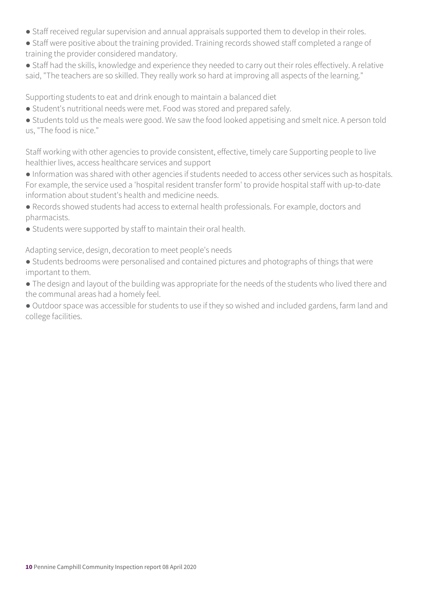- Staff received regular supervision and annual appraisals supported them to develop in their roles.
- Staff were positive about the training provided. Training records showed staff completed a range of training the provider considered mandatory.
- Staff had the skills, knowledge and experience they needed to carry out their roles effectively. A relative said, "The teachers are so skilled. They really work so hard at improving all aspects of the learning."

Supporting students to eat and drink enough to maintain a balanced diet

- Student's nutritional needs were met. Food was stored and prepared safely.
- Students told us the meals were good. We saw the food looked appetising and smelt nice. A person told us, "The food is nice."

Staff working with other agencies to provide consistent, effective, timely care Supporting people to live healthier lives, access healthcare services and support

- Information was shared with other agencies if students needed to access other services such as hospitals. For example, the service used a 'hospital resident transfer form' to provide hospital staff with up-to-date information about student's health and medicine needs.
- Records showed students had access to external health professionals. For example, doctors and pharmacists.
- Students were supported by staff to maintain their oral health.

Adapting service, design, decoration to meet people's needs

- Students bedrooms were personalised and contained pictures and photographs of things that were important to them.
- The design and layout of the building was appropriate for the needs of the students who lived there and the communal areas had a homely feel.
- Outdoor space was accessible for students to use if they so wished and included gardens, farm land and college facilities.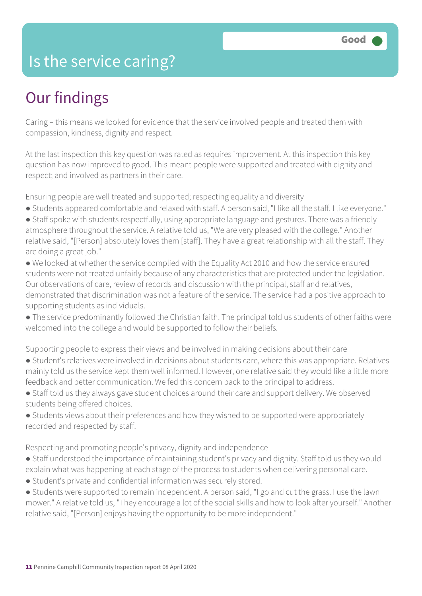### Is the service caring?

### Our findings

Caring – this means we looked for evidence that the service involved people and treated them with compassion, kindness, dignity and respect.

At the last inspection this key question was rated as requires improvement. At this inspection this key question has now improved to good. This meant people were supported and treated with dignity and respect; and involved as partners in their care.

Ensuring people are well treated and supported; respecting equality and diversity

- Students appeared comfortable and relaxed with staff. A person said, "I like all the staff. I like everyone."
- Staff spoke with students respectfully, using appropriate language and gestures. There was a friendly atmosphere throughout the service. A relative told us, "We are very pleased with the college." Another relative said, "[Person] absolutely loves them [staff]. They have a great relationship with all the staff. They are doing a great job."
- We looked at whether the service complied with the Equality Act 2010 and how the service ensured students were not treated unfairly because of any characteristics that are protected under the legislation. Our observations of care, review of records and discussion with the principal, staff and relatives, demonstrated that discrimination was not a feature of the service. The service had a positive approach to supporting students as individuals.
- The service predominantly followed the Christian faith. The principal told us students of other faiths were welcomed into the college and would be supported to follow their beliefs.

Supporting people to express their views and be involved in making decisions about their care

- Student's relatives were involved in decisions about students care, where this was appropriate. Relatives mainly told us the service kept them well informed. However, one relative said they would like a little more feedback and better communication. We fed this concern back to the principal to address.
- Staff told us they always gave student choices around their care and support delivery. We observed students being offered choices.
- Students views about their preferences and how they wished to be supported were appropriately recorded and respected by staff.

Respecting and promoting people's privacy, dignity and independence

- Staff understood the importance of maintaining student's privacy and dignity. Staff told us they would explain what was happening at each stage of the process to students when delivering personal care.
- Student's private and confidential information was securely stored.
- Students were supported to remain independent. A person said, "I go and cut the grass. I use the lawn mower." A relative told us, "They encourage a lot of the social skills and how to look after yourself." Another relative said, "[Person] enjoys having the opportunity to be more independent."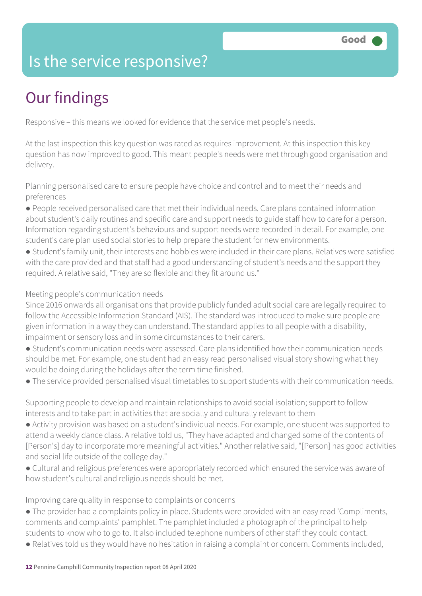### Is the service responsive?

# Our findings

Responsive – this means we looked for evidence that the service met people's needs.

At the last inspection this key question was rated as requires improvement. At this inspection this key question has now improved to good. This meant people's needs were met through good organisation and delivery.

Planning personalised care to ensure people have choice and control and to meet their needs and preferences

- People received personalised care that met their individual needs. Care plans contained information about student's daily routines and specific care and support needs to guide staff how to care for a person. Information regarding student's behaviours and support needs were recorded in detail. For example, one student's care plan used social stories to help prepare the student for new environments.
- Student's family unit, their interests and hobbies were included in their care plans. Relatives were satisfied with the care provided and that staff had a good understanding of student's needs and the support they required. A relative said, "They are so flexible and they fit around us."

#### Meeting people's communication needs

Since 2016 onwards all organisations that provide publicly funded adult social care are legally required to follow the Accessible Information Standard (AIS). The standard was introduced to make sure people are given information in a way they can understand. The standard applies to all people with a disability, impairment or sensory loss and in some circumstances to their carers.

- Student's communication needs were assessed. Care plans identified how their communication needs should be met. For example, one student had an easy read personalised visual story showing what they would be doing during the holidays after the term time finished.
- The service provided personalised visual timetables to support students with their communication needs.

Supporting people to develop and maintain relationships to avoid social isolation; support to follow interests and to take part in activities that are socially and culturally relevant to them

- Activity provision was based on a student's individual needs. For example, one student was supported to attend a weekly dance class. A relative told us, "They have adapted and changed some of the contents of [Person's] day to incorporate more meaningful activities." Another relative said, "[Person] has good activities and social life outside of the college day."
- Cultural and religious preferences were appropriately recorded which ensured the service was aware of how student's cultural and religious needs should be met.

Improving care quality in response to complaints or concerns

- The provider had a complaints policy in place. Students were provided with an easy read 'Compliments, comments and complaints' pamphlet. The pamphlet included a photograph of the principal to help students to know who to go to. It also included telephone numbers of other staff they could contact.
- Relatives told us they would have no hesitation in raising a complaint or concern. Comments included,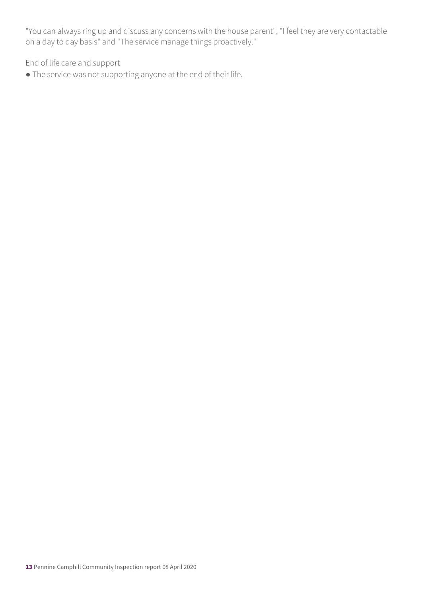"You can always ring up and discuss any concerns with the house parent", "I feel they are very contactable on a day to day basis" and "The service manage things proactively."

End of life care and support

● The service was not supporting anyone at the end of their life.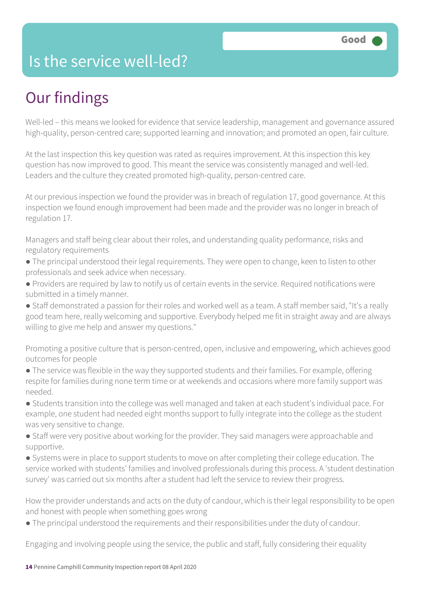### Is the service well-led?

## Our findings

Well-led – this means we looked for evidence that service leadership, management and governance assured high-quality, person-centred care; supported learning and innovation; and promoted an open, fair culture.

At the last inspection this key question was rated as requires improvement. At this inspection this key question has now improved to good. This meant the service was consistently managed and well-led. Leaders and the culture they created promoted high-quality, person-centred care.

At our previous inspection we found the provider was in breach of regulation 17, good governance. At this inspection we found enough improvement had been made and the provider was no longer in breach of regulation 17.

Managers and staff being clear about their roles, and understanding quality performance, risks and regulatory requirements

- The principal understood their legal requirements. They were open to change, keen to listen to other professionals and seek advice when necessary.
- Providers are required by law to notify us of certain events in the service. Required notifications were submitted in a timely manner.
- Staff demonstrated a passion for their roles and worked well as a team. A staff member said, "It's a really good team here, really welcoming and supportive. Everybody helped me fit in straight away and are always willing to give me help and answer my questions."

Promoting a positive culture that is person-centred, open, inclusive and empowering, which achieves good outcomes for people

- The service was flexible in the way they supported students and their families. For example, offering respite for families during none term time or at weekends and occasions where more family support was needed.
- Students transition into the college was well managed and taken at each student's individual pace. For example, one student had needed eight months support to fully integrate into the college as the student was very sensitive to change.
- Staff were very positive about working for the provider. They said managers were approachable and supportive.
- Systems were in place to support students to move on after completing their college education. The service worked with students' families and involved professionals during this process. A 'student destination survey' was carried out six months after a student had left the service to review their progress.

How the provider understands and acts on the duty of candour, which is their legal responsibility to be open and honest with people when something goes wrong

● The principal understood the requirements and their responsibilities under the duty of candour.

Engaging and involving people using the service, the public and staff, fully considering their equality